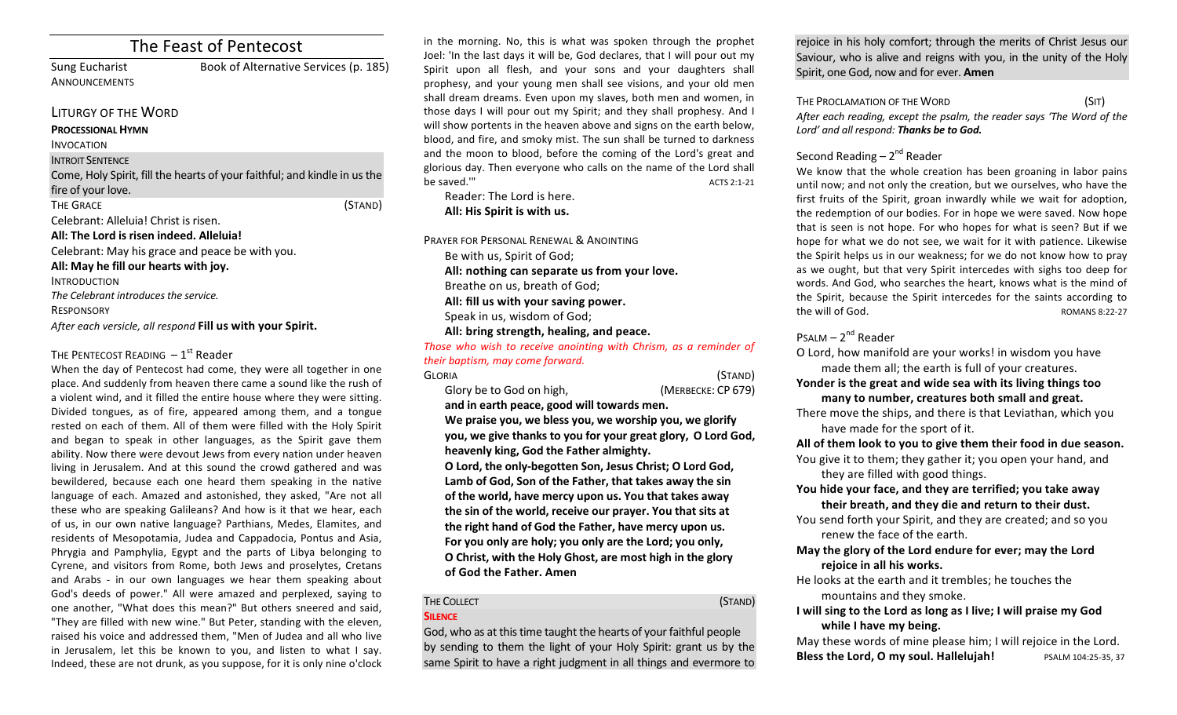# The Feast of Pentecost

Sung Eucharist Book of Alternative Services (p. 185) **ANNOUNCEMENTS** 

#### LITURGY OF THE WORD

#### **PROCESSIONAL HYMN**

INVOCATION

**INTROIT SENTENCE** 

Come, Holy Spirit, fill the hearts of your faithful; and kindle in us the fire of your love. THE GRACE (STAND)

Celebrant: Alleluia! Christ is risen.

All: The Lord is risen indeed. Alleluia!

Celebrant: May his grace and peace be with you.

All: May he fill our hearts with joy.

INTRODUCTION

The Celebrant introduces the service.

**RESPONSORY** 

After each versicle, all respond **Fill us with your Spirit.** 

# THE PENTECOST READING  $-1<sup>st</sup>$  Reader

When the day of Pentecost had come, they were all together in one place. And suddenly from heaven there came a sound like the rush of a violent wind, and it filled the entire house where they were sitting. Divided tongues, as of fire, appeared among them, and a tongue rested on each of them. All of them were filled with the Holy Spirit and began to speak in other languages, as the Spirit gave them ability. Now there were devout Jews from every nation under heaven living in Jerusalem. And at this sound the crowd gathered and was bewildered, because each one heard them speaking in the native language of each. Amazed and astonished, they asked, "Are not all these who are speaking Galileans? And how is it that we hear, each of us. in our own native language? Parthians, Medes, Elamites, and residents of Mesopotamia, Judea and Cappadocia, Pontus and Asia, Phrygia and Pamphylia, Egypt and the parts of Libya belonging to Cyrene, and visitors from Rome, both Jews and proselytes, Cretans and Arabs - in our own languages we hear them speaking about God's deeds of power." All were amazed and perplexed, saying to one another, "What does this mean?" But others sneered and said, "They are filled with new wine." But Peter, standing with the eleven, raised his voice and addressed them, "Men of Judea and all who live in Jerusalem, let this be known to you, and listen to what I say. Indeed, these are not drunk, as you suppose, for it is only nine o'clock in the morning. No, this is what was spoken through the prophet Joel: 'In the last days it will be, God declares, that I will pour out my Spirit upon all flesh, and your sons and your daughters shall prophesy, and your young men shall see visions, and your old men shall dream dreams. Even upon my slaves, both men and women, in those days I will pour out my Spirit; and they shall prophesy. And I will show portents in the heaven above and signs on the earth below, blood, and fire, and smoky mist. The sun shall be turned to darkness and the moon to blood, before the coming of the Lord's great and glorious day. Then everyone who calls on the name of the Lord shall be saved.'" ACTS 2:1-21

Reader: The Lord is here. All: His Spirit is with us.

PRAYER FOR PERSONAL RENEWAL & ANOINTING Be with us, Spirit of God: All: nothing can separate us from your love. Breathe on us, breath of God; All: fill us with your saving power. Speak in us, wisdom of God; All: bring strength, healing, and peace.

*Those* who wish to receive anointing with Chrism, as a reminder of *their baptism, may come forward.*

GLORIA (STAND)

Glory be to God on high, *CODECALCES* (MERBECKE: CP 679) and in earth peace, good will towards men.

We praise you, we bless you, we worship you, we glorify **you, we give thanks to you for your great glory, O Lord God,** heavenly king, God the Father almighty.

**O** Lord, the only-begotten Son, Jesus Christ; O Lord God, Lamb of God, Son of the Father, that takes away the sin of the world, have mercy upon us. You that takes away the sin of the world, receive our prayer. You that sits at the right hand of God the Father, have mercy upon us. For you only are holy; you only are the Lord; you only, **O** Christ, with the Holy Ghost, are most high in the glory **of God the Father. Amen**

#### THE COLLECT **THE COLLECT COLLECT COLLECT COLLECT COLLECT COLLECT COLLECT COLLECT COLLECT COLLECT SILENCE**

God, who as at this time taught the hearts of your faithful people by sending to them the light of your Holy Spirit: grant us by the same Spirit to have a right judgment in all things and evermore to rejoice in his holy comfort; through the merits of Christ Jesus our Saviour, who is alive and reigns with you, in the unity of the Holy Spirit, one God, now and for ever. **Amen** 

THE PROCLAMATION OF THE WORD (SIT) After each reading, except the psalm, the reader says 'The Word of the Lord' and all respond: **Thanks be to God.** 

# Second Reading  $-2<sup>nd</sup>$  Reader

We know that the whole creation has been groaning in labor pains until now; and not only the creation, but we ourselves, who have the first fruits of the Spirit, groan inwardly while we wait for adoption, the redemption of our bodies. For in hope we were saved. Now hope that is seen is not hope. For who hopes for what is seen? But if we hope for what we do not see, we wait for it with patience. Likewise the Spirit helps us in our weakness; for we do not know how to pray as we ought, but that very Spirit intercedes with sighs too deep for words. And God, who searches the heart, knows what is the mind of the Spirit, because the Spirit intercedes for the saints according to the will of God. The second second second second second second second second second second second second second second second second second second second second second second second second second second second second secon

# $P$ SALM –  $2^{nd}$  Reader

O Lord, how manifold are your works! in wisdom you have made them all; the earth is full of your creatures.

Yonder is the great and wide sea with its living things too many to number, creatures both small and great.

There move the ships, and there is that Leviathan, which you have made for the sport of it.

All of them look to you to give them their food in due season.

- You give it to them; they gather it; you open your hand, and they are filled with good things.
- You hide your face, and they are terrified; you take away their breath, and they die and return to their dust.
- You send forth your Spirit, and they are created; and so you renew the face of the earth.

## May the glory of the Lord endure for ever; may the Lord rejoice in all his works.

He looks at the earth and it trembles; he touches the mountains and they smoke.

I will sing to the Lord as long as I live; I will praise my God while I have my being.

May these words of mine please him; I will rejoice in the Lord. **Bless the Lord, O my soul. Hallelujah!** PSALM 104:25-35, 37